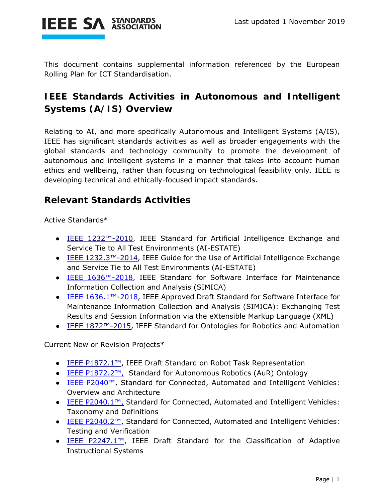

This document contains supplemental information referenced by the European Rolling Plan for ICT Standardisation.

## **IEEE Standards Activities in Autonomous and Intelligent Systems (A/IS) Overview**

Relating to AI, and more specifically Autonomous and Intelligent Systems (A/IS), IEEE has significant standards activities as well as broader engagements with the global standards and technology community to promote the development of autonomous and intelligent systems in a manner that takes into account human ethics and wellbeing, rather than focusing on technological feasibility only. IEEE is developing technical and ethically-focused impact standards.

## **Relevant Standards Activities**

Active Standards\*

- IEEE 1232<sup>™-</sup>2010, IEEE Standard for Artificial Intelligence Exchange and Service Tie to All Test Environments (AI-ESTATE)
- IEEE 1232.3™-2014, IEEE Guide for the Use of Artificial Intelligence Exchange and Service Tie to All Test Environments (AI-ESTATE)
- IEEE 1636<sup>™-</sup>2018, IEEE Standard for Software Interface for Maintenance Information Collection and Analysis (SIMICA)
- IEEE 1636.1™-2018, IEEE Approved Draft Standard for Software Interface for Maintenance Information Collection and Analysis (SIMICA): Exchanging Test Results and Session Information via the eXtensible Markup Language (XML)
- IEEE 1872<sup>™-2015</sup>, IEEE Standard for Ontologies for Robotics and Automation

Current New or Revision Projects\*

- IEEE P1872.1™, IEEE Draft Standard on Robot Task Representation
- IEEE P1872.2™, Standard for Autonomous Robotics (AuR) Ontology
- IEEE P2040™, Standard for Connected, Automated and Intelligent Vehicles: Overview and Architecture
- IEEE P2040.1™, Standard for Connected, Automated and Intelligent Vehicles: Taxonomy and Definitions
- IEEE P2040.2™, Standard for Connected, Automated and Intelligent Vehicles: Testing and Verification
- IEEE P2247.1™, IEEE Draft Standard for the Classification of Adaptive Instructional Systems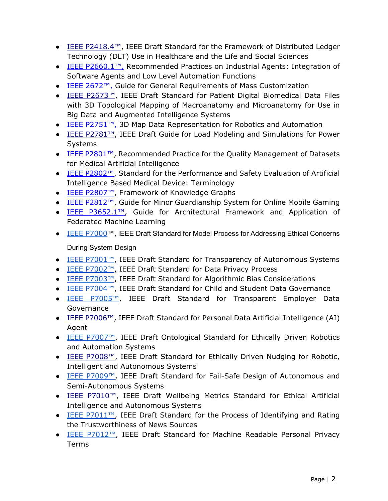- IEEE P2418.4™, IEEE Draft Standard for the Framework of Distributed Ledger Technology (DLT) Use in Healthcare and the Life and Social Sciences
- IEEE P2660.1™, Recommended Practices on Industrial Agents: Integration of Software Agents and Low Level Automation Functions
- IEEE 2672™, Guide for General Requirements of Mass Customization
- IEEE P2673<sup>™</sup>, IEEE Draft Standard for Patient Digital Biomedical Data Files with 3D Topological Mapping of Macroanatomy and Microanatomy for Use in Big Data and Augmented Intelligence Systems
- IEEE P2751<sup>™</sup>, 3D Map Data Representation for Robotics and Automation
- IEEE P2781<sup>™</sup>, IEEE Draft Guide for Load Modeling and Simulations for Power Systems
- IEEE P2801™, Recommended Practice for the Quality Management of Datasets for Medical Artificial Intelligence
- IEEE P2802™, Standard for the Performance and Safety Evaluation of Artificial Intelligence Based Medical Device: Terminology
- IEEE P2807™, Framework of Knowledge Graphs
- IEEE P2812™, Guide for Minor Guardianship System for Online Mobile Gaming
- IEEE P3652.1™, Guide for Architectural Framework and Application of Federated Machine Learning
- IEEE P7000™, IEEE Draft Standard for Model Process for Addressing Ethical Concerns

## During System Design

- IEEE P7001™, IEEE Draft Standard for Transparency of Autonomous Systems
- IEEE P7002™, IEEE Draft Standard for Data Privacy Process
- IEEE P7003™, IEEE Draft Standard for Algorithmic Bias Considerations
- IEEE P7004™, IEEE Draft Standard for Child and Student Data Governance
- IEEE P7005™, IEEE Draft Standard for Transparent Employer Data Governance
- IEEE P7006™, IEEE Draft Standard for Personal Data Artificial Intelligence (AI) Agent
- IEEE P7007™, IEEE Draft Ontological Standard for Ethically Driven Robotics and Automation Systems
- IEEE P7008™, IEEE Draft Standard for Ethically Driven Nudging for Robotic, Intelligent and Autonomous Systems
- IEEE P7009™, IEEE Draft Standard for Fail-Safe Design of Autonomous and Semi-Autonomous Systems
- IEEE P7010<sup>™</sup>, IEEE Draft Wellbeing Metrics Standard for Ethical Artificial Intelligence and Autonomous Systems
- IEEE P7011™, IEEE Draft Standard for the Process of Identifying and Rating the Trustworthiness of News Sources
- **IEEE P7012™, IEEE Draft Standard for Machine Readable Personal Privacy** Terms